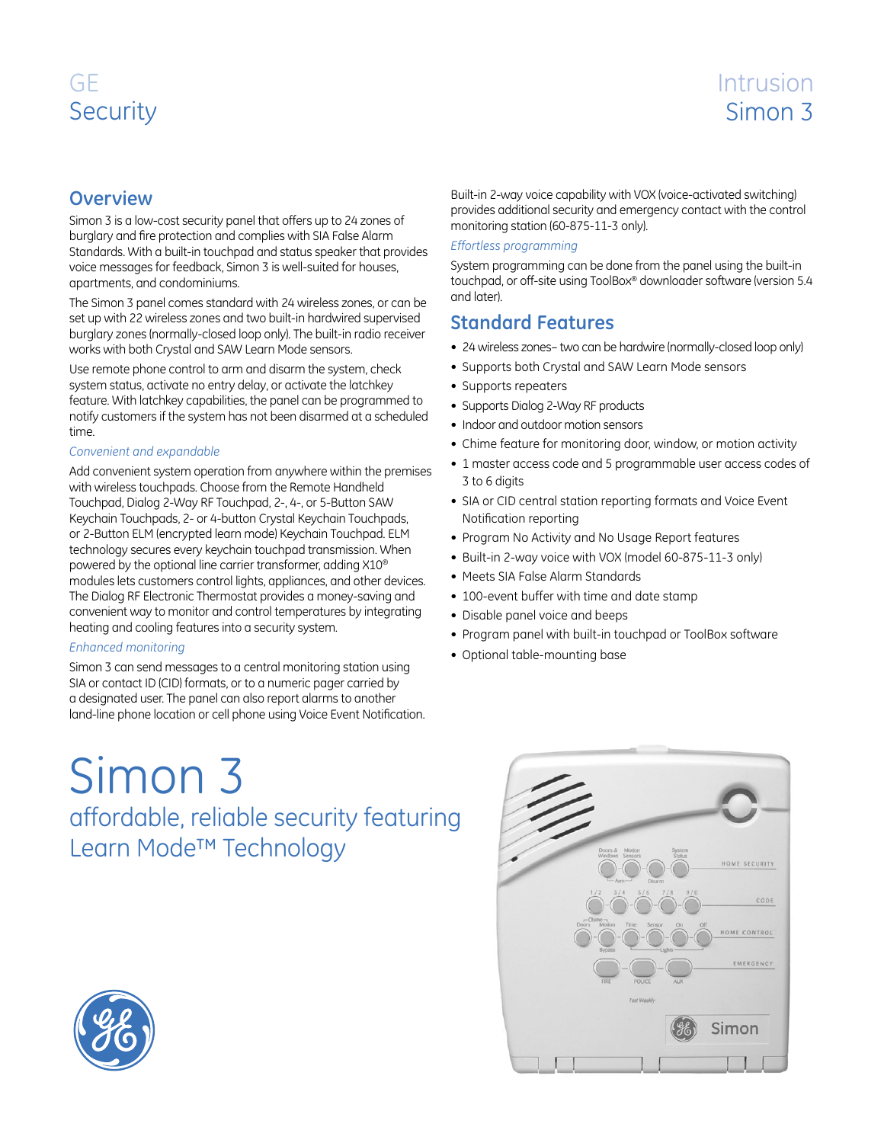# GE **Security**

# Intrusion Simon 3

## **Overview**

Simon 3 is a low-cost security panel that offers up to 24 zones of burglary and fire protection and complies with SIA False Alarm Standards. With a built-in touchpad and status speaker that provides voice messages for feedback, Simon 3 is well-suited for houses, apartments, and condominiums.

The Simon 3 panel comes standard with 24 wireless zones, or can be set up with 22 wireless zones and two built-in hardwired supervised burglary zones (normally-closed loop only). The built-in radio receiver works with both Crystal and SAW Learn Mode sensors.

Use remote phone control to arm and disarm the system, check system status, activate no entry delay, or activate the latchkey feature. With latchkey capabilities, the panel can be programmed to notify customers if the system has not been disarmed at a scheduled time.

#### *Convenient and expandable*

Add convenient system operation from anywhere within the premises with wireless touchpads. Choose from the Remote Handheld Touchpad, Dialog 2-Way RF Touchpad, 2-, 4-, or 5-Button SAW Keychain Touchpads, 2- or 4-button Crystal Keychain Touchpads, or 2-Button ELM (encrypted learn mode) Keychain Touchpad. ELM technology secures every keychain touchpad transmission. When powered by the optional line carrier transformer, adding X10® modules lets customers control lights, appliances, and other devices. The Dialog RF Electronic Thermostat provides a money-saving and convenient way to monitor and control temperatures by integrating heating and cooling features into a security system.

#### *Enhanced monitoring*

Simon 3 can send messages to a central monitoring station using SIA or contact ID (CID) formats, or to a numeric pager carried by a designated user. The panel can also report alarms to another land-line phone location or cell phone using Voice Event Notification.

Simon 3 affordable, reliable security featuring Learn Mode™ Technology

Built-in 2-way voice capability with VOX (voice-activated switching) provides additional security and emergency contact with the control monitoring station (60-875-11-3 only).

#### *Effortless programming*

System programming can be done from the panel using the built-in touchpad, or off-site using ToolBox® downloader software (version 5.4 and later).

### **Standard Features**

- 24 wireless zones– two can be hardwire (normally-closed loop only)
- Supports both Crystal and SAW Learn Mode sensors
- Supports repeaters
- Supports Dialog 2-Way RF products
- Indoor and outdoor motion sensors
- Chime feature for monitoring door, window, or motion activity
- 1 master access code and 5 programmable user access codes of 3 to 6 digits
- SIA or CID central station reporting formats and Voice Event Notification reporting
- Program No Activity and No Usage Report features
- Built-in 2-way voice with VOX (model 60-875-11-3 only)
- Meets SIA False Alarm Standards
- 100-event buffer with time and date stamp
- Disable panel voice and beeps
- Program panel with built-in touchpad or ToolBox software
- Optional table-mounting base